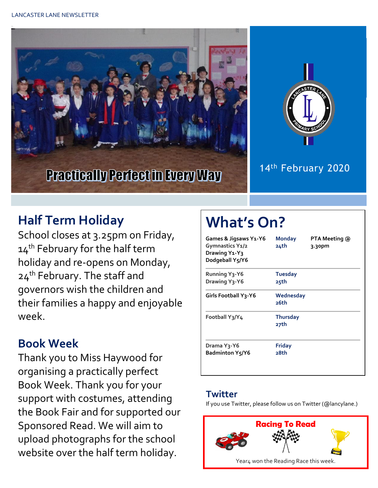



### 14<sup>th</sup> February 2020

# **Half Term Holiday**

School closes at 3.25pm on Friday, 14<sup>th</sup> February for the half term holiday and re-opens on Monday, 24<sup>th</sup> February. The staff and governors wish the children and their families a happy and enjoyable week.

## **Book Week**

Thank you to Miss Haywood for organising a practically perfect Book Week. Thank you for your support with costumes, attending the Book Fair and for supported our Sponsored Read. We will aim to upload photographs for the school website over the half term holiday.

# **What's On?**

| Games & Jigsaws Y1-Y6<br>Gymnastics Y1/2<br>Drawing Y <sub>1</sub> -Y <sub>3</sub><br>Dodgeball Y5/Y6 | <b>Monday</b><br>24th   | PTA Meeting @<br>3.30pm |
|-------------------------------------------------------------------------------------------------------|-------------------------|-------------------------|
| <b>Running Y3-Y6</b><br>Drawing Y <sub>3</sub> -Y6                                                    | <b>Tuesday</b><br>25th  |                         |
| <b>Girls Football Y3-Y6</b>                                                                           | Wednesday<br>26th       |                         |
| Football Y3/Y4                                                                                        | <b>Thursday</b><br>27th |                         |
| Drama Y3-Y6<br><b>Badminton Y5/Y6</b>                                                                 | Friday<br>28th          |                         |

#### **Twitter**

If you use Twitter, please follow us on Twitter (@lancylane.)

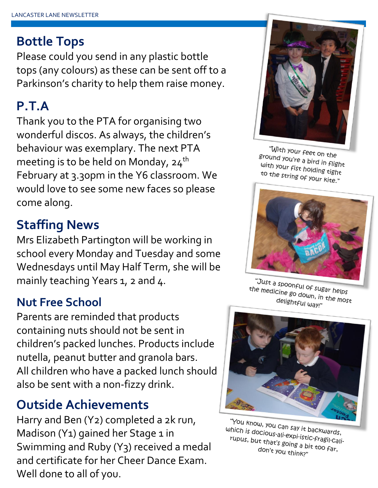## **Bottle Tops**

Please could you send in any plastic bottle tops (any colours) as these can be sent off to a Parkinson's charity to help them raise money.

# **P.T.A**

Thank you to the PTA for organising two wonderful discos. As always, the children's behaviour was exemplary. The next PTA meeting is to be held on Monday,  $24<sup>th</sup>$ February at 3.30pm in the Y6 classroom. We would love to see some new faces so please come along.

## **Staffing News**

Mrs Elizabeth Partington will be working in school every Monday and Tuesday and some Wednesdays until May Half Term, she will be mainly teaching Years 1, 2 and 4.

#### **Nut Free School**

Parents are reminded that products containing nuts should not be sent in children's packed lunches. Products include nutella, peanut butter and granola bars. All children who have a packed lunch should also be sent with a non-fizzy drink.

## **Outside Achievements**

Harry and Ben (Y2) completed a 2k run, Madison (Y1) gained her Stage 1 in Swimming and Ruby (Y3) received a medal and certificate for her Cheer Dance Exam. Well done to all of you.



"With your feet on the ground your feet on the<br>ground you're a bird in flight<br>with your fist bold: with your fist holding tight<br>to the string ocuto the string of your kite."



"Just a spoonful of sugar helps"<br>"e medicine go dolune in the po the medicine go down, in the most<br>the medicine go down, in the most<br>delightful mayr" delightful way!"



"You know, you can say it backwards,<br>Thich is docious-ali-explaints of the data sh which is docious-all-explainting backwards,<br>rupus, but that's going a bit to allrupus, but that's going a bit too far,<br>fupus, but that's going a bit too far,<br>don't you think?" don't you think?"